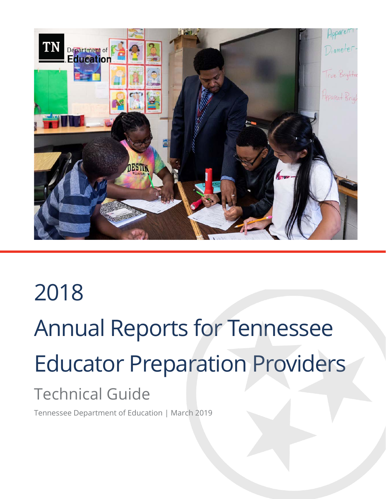

# 2018 Annual Reports for Tennessee Educator Preparation Providers Technical Guide

Tennessee Department of Education | March 2019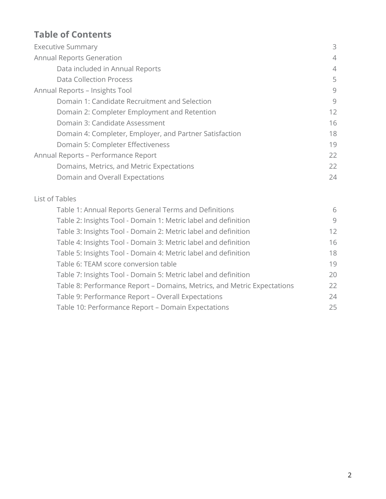## **Table of Contents**

| <b>Executive Summary</b>                                | 3              |
|---------------------------------------------------------|----------------|
| <b>Annual Reports Generation</b>                        | $\overline{4}$ |
| Data included in Annual Reports                         | $\overline{4}$ |
| <b>Data Collection Process</b>                          | 5              |
| Annual Reports - Insights Tool                          | 9              |
| Domain 1: Candidate Recruitment and Selection           | 9              |
| Domain 2: Completer Employment and Retention            | 12             |
| Domain 3: Candidate Assessment                          | 16             |
| Domain 4: Completer, Employer, and Partner Satisfaction | 18             |
| Domain 5: Completer Effectiveness                       | 19             |
| Annual Reports - Performance Report                     | 22             |
| Domains, Metrics, and Metric Expectations               | 22             |
| Domain and Overall Expectations                         | 24             |

#### List of Tables

| Table 1: Annual Reports General Terms and Definitions                   | 6                 |
|-------------------------------------------------------------------------|-------------------|
| Table 2: Insights Tool - Domain 1: Metric label and definition          | 9                 |
| Table 3: Insights Tool - Domain 2: Metric label and definition          | $12 \overline{ }$ |
| Table 4: Insights Tool - Domain 3: Metric label and definition          | 16                |
| Table 5: Insights Tool - Domain 4: Metric label and definition          | 18                |
| Table 6: TEAM score conversion table                                    | 19                |
| Table 7: Insights Tool - Domain 5: Metric label and definition          | 20                |
| Table 8: Performance Report - Domains, Metrics, and Metric Expectations | 22                |
| Table 9: Performance Report - Overall Expectations                      | 24                |
| Table 10: Performance Report - Domain Expectations                      | 25                |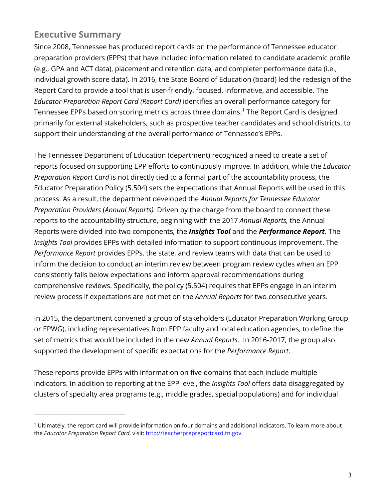## **Executive Summary**

 $\overline{a}$ 

Since 2008, Tennessee has produced report cards on the performance of Tennessee educator preparation providers (EPPs) that have included information related to candidate academic profile (e.g., GPA and ACT data), placement and retention data, and completer performance data (i.e., individual growth score data). In 2016, the State Board of Education (board) led the redesign of the Report Card to provide a tool that is user-friendly, focused, informative, and accessible. The *Educator Preparation Report Card (Report Card)* identifies an overall performance category for Tennessee EPPs based on scoring metrics across three domains.<sup>[1](#page-2-0)</sup> The Report Card is designed primarily for external stakeholders, such as prospective teacher candidates and school districts, to support their understanding of the overall performance of Tennessee's EPPs.

The Tennessee Department of Education (department) recognized a need to create a set of reports focused on supporting EPP efforts to continuously improve. In addition, while the *Educator Preparation Report Card* is not directly tied to a formal part of the accountability process, the Educator Preparation Policy (5.504) sets the expectations that Annual Reports will be used in this process. As a result, the department developed the *Annual Reports for Tennessee Educator Preparation Providers* (*Annual Reports).* Driven by the charge from the board to connect these reports to the accountability structure, beginning with the 2017 *Annual Reports,* the Annual Reports were divided into two components, the *Insights Tool* and the *Performance Report*. The *Insights Tool* provides EPPs with detailed information to support continuous improvement. The *Performance Report* provides EPPs, the state, and review teams with data that can be used to inform the decision to conduct an interim review between program review cycles when an EPP consistently falls below expectations and inform approval recommendations during comprehensive reviews. Specifically, the policy (5.504) requires that EPPs engage in an interim review process if expectations are not met on the *Annual Reports* for two consecutive years.

In 2015, the department convened a group of stakeholders (Educator Preparation Working Group or EPWG), including representatives from EPP faculty and local education agencies, to define the set of metrics that would be included in the new *Annual Reports*. In 2016-2017, the group also supported the development of specific expectations for the *Performance Report*.

These reports provide EPPs with information on five domains that each include multiple indicators. In addition to reporting at the EPP level, the *Insights Tool* offers data disaggregated by clusters of specialty area programs (e.g., middle grades, special populations) and for individual

<span id="page-2-0"></span><sup>1</sup> Ultimately, the report card will provide information on four domains and additional indicators. To learn more about the *Educator Preparation Report Card*, visit[: http://teacherprepreportcard.tn.gov.](http://teacherprepreportcard.tn.gov/)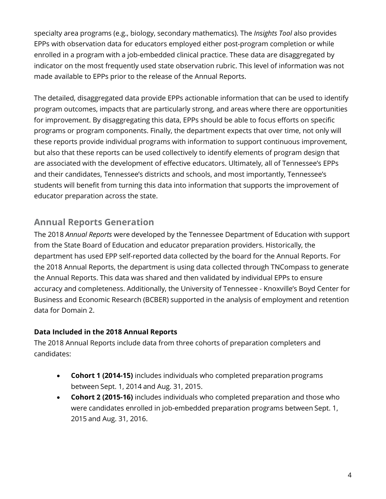specialty area programs (e.g., biology, secondary mathematics). The *Insights Tool* also provides EPPs with observation data for educators employed either post-program completion or while enrolled in a program with a job-embedded clinical practice. These data are disaggregated by indicator on the most frequently used state observation rubric. This level of information was not made available to EPPs prior to the release of the Annual Reports.

The detailed, disaggregated data provide EPPs actionable information that can be used to identify program outcomes, impacts that are particularly strong, and areas where there are opportunities for improvement. By disaggregating this data, EPPs should be able to focus efforts on specific programs or program components. Finally, the department expects that over time, not only will these reports provide individual programs with information to support continuous improvement, but also that these reports can be used collectively to identify elements of program design that are associated with the development of effective educators. Ultimately, all of Tennessee's EPPs and their candidates, Tennessee's districts and schools, and most importantly, Tennessee's students will benefit from turning this data into information that supports the improvement of educator preparation across the state.

## **Annual Reports Generation**

The 2018 *Annual Reports* were developed by the Tennessee Department of Education with support from the State Board of Education and educator preparation providers. Historically, the department has used EPP self-reported data collected by the board for the Annual Reports. For the 2018 Annual Reports, the department is using data collected through TNCompass to generate the Annual Reports. This data was shared and then validated by individual EPPs to ensure accuracy and completeness. Additionally, the University of Tennessee - Knoxville's Boyd Center for Business and Economic Research (BCBER) supported in the analysis of employment and retention data for Domain 2.

#### **Data Included in the 2018 Annual Reports**

The 2018 Annual Reports include data from three cohorts of preparation completers and candidates:

- **Cohort 1 (2014-15)** includes individuals who completed preparation programs between Sept. 1, 2014 and Aug. 31, 2015.
- **Cohort 2 (2015-16)** includes individuals who completed preparation and those who were candidates enrolled in job-embedded preparation programs between Sept. 1, 2015 and Aug. 31, 2016.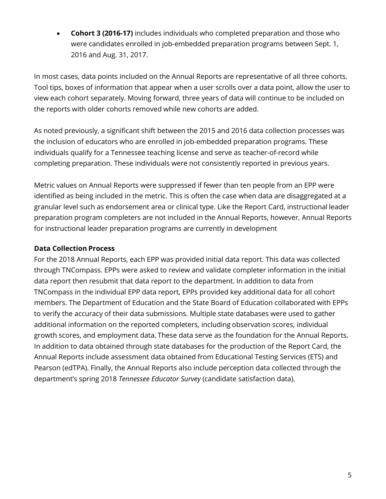• **Cohort 3 (2016-17)** includes individuals who completed preparation and those who were candidates enrolled in job-embedded preparation programs between Sept. 1, 2016 and Aug. 31, 2017.

In most cases, data points included on the Annual Reports are representative of all three cohorts. Tool tips, boxes of information that appear when a user scrolls over a data point, allow the user to view each cohort separately. Moving forward, three years of data will continue to be included on the reports with older cohorts removed while new cohorts are added.

As noted previously, a significant shift between the 2015 and 2016 data collection processes was the inclusion of educators who are enrolled in job-embedded preparation programs. These individuals qualify for a Tennessee teaching license and serve as teacher-of-record while completing preparation. These individuals were not consistently reported in previous years.

Metric values on Annual Reports were suppressed if fewer than ten people from an EPP were identified as being included in the metric. This is often the case when data are disaggregated at a granular level such as endorsement area or clinical type. Like the Report Card, instructional leader preparation program completers are not included in the Annual Reports, however, Annual Reports for instructional leader preparation programs are currently in development

#### **Data Collection Process**

For the 2018 Annual Reports, each EPP was provided initial data report. This data was collected through TNCompass. EPPs were asked to review and validate completer information in the initial data report then resubmit that data report to the department. In addition to data from TNCompass in the individual EPP data report, EPPs provided key additional data for all cohort members. The Department of Education and the State Board of Education collaborated with EPPs to verify the accuracy of their data submissions. Multiple state databases were used to gather additional information on the reported completers, including observation scores, individual growth scores, and employment data. These data serve as the foundation for the Annual Reports. In addition to data obtained through state databases for the production of the Report Card, the Annual Reports include assessment data obtained from Educational Testing Services (ETS) and Pearson (edTPA). Finally, the Annual Reports also include perception data collected through the department's spring 2018 *Tennessee Educator Survey* (candidate satisfaction data).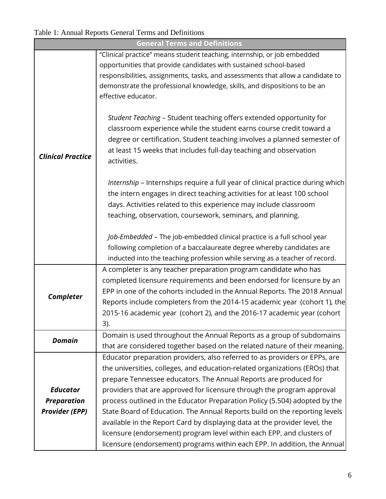## Table 1: Annual Reports General Terms and Definitions

|                          | <b>General Terms and Definitions</b>                                                                                                                 |  |  |  |  |
|--------------------------|------------------------------------------------------------------------------------------------------------------------------------------------------|--|--|--|--|
|                          | "Clinical practice" means student teaching, internship, or job embedded                                                                              |  |  |  |  |
|                          | opportunities that provide candidates with sustained school-based                                                                                    |  |  |  |  |
|                          | responsibilities, assignments, tasks, and assessments that allow a candidate to                                                                      |  |  |  |  |
|                          | demonstrate the professional knowledge, skills, and dispositions to be an                                                                            |  |  |  |  |
|                          | effective educator.                                                                                                                                  |  |  |  |  |
|                          |                                                                                                                                                      |  |  |  |  |
|                          | Student Teaching - Student teaching offers extended opportunity for                                                                                  |  |  |  |  |
|                          | classroom experience while the student earns course credit toward a                                                                                  |  |  |  |  |
|                          | degree or certification. Student teaching involves a planned semester of                                                                             |  |  |  |  |
| <b>Clinical Practice</b> | at least 15 weeks that includes full-day teaching and observation                                                                                    |  |  |  |  |
|                          | activities.                                                                                                                                          |  |  |  |  |
|                          | Internship - Internships require a full year of clinical practice during which                                                                       |  |  |  |  |
|                          | the intern engages in direct teaching activities for at least 100 school                                                                             |  |  |  |  |
|                          | days. Activities related to this experience may include classroom                                                                                    |  |  |  |  |
|                          | teaching, observation, coursework, seminars, and planning.                                                                                           |  |  |  |  |
|                          |                                                                                                                                                      |  |  |  |  |
|                          | Job-Embedded - The job-embedded clinical practice is a full school year                                                                              |  |  |  |  |
|                          | following completion of a baccalaureate degree whereby candidates are<br>inducted into the teaching profession while serving as a teacher of record. |  |  |  |  |
|                          | A completer is any teacher preparation program candidate who has                                                                                     |  |  |  |  |
|                          | completed licensure requirements and been endorsed for licensure by an                                                                               |  |  |  |  |
|                          | EPP in one of the cohorts included in the Annual Reports. The 2018 Annual                                                                            |  |  |  |  |
| Completer                | Reports include completers from the 2014-15 academic year (cohort 1), the                                                                            |  |  |  |  |
|                          | 2015-16 academic year (cohort 2), and the 2016-17 academic year (cohort                                                                              |  |  |  |  |
|                          | 3).                                                                                                                                                  |  |  |  |  |
|                          | Domain is used throughout the Annual Reports as a group of subdomains                                                                                |  |  |  |  |
| <b>Domain</b>            | that are considered together based on the related nature of their meaning.                                                                           |  |  |  |  |
|                          | Educator preparation providers, also referred to as providers or EPPs, are                                                                           |  |  |  |  |
|                          | the universities, colleges, and education-related organizations (EROs) that                                                                          |  |  |  |  |
|                          | prepare Tennessee educators. The Annual Reports are produced for                                                                                     |  |  |  |  |
| <b>Educator</b>          | providers that are approved for licensure through the program approval                                                                               |  |  |  |  |
| <b>Preparation</b>       | process outlined in the Educator Preparation Policy (5.504) adopted by the                                                                           |  |  |  |  |
| <b>Provider (EPP)</b>    | State Board of Education. The Annual Reports build on the reporting levels                                                                           |  |  |  |  |
|                          | available in the Report Card by displaying data at the provider level, the                                                                           |  |  |  |  |
|                          | licensure (endorsement) program level within each EPP, and clusters of                                                                               |  |  |  |  |
|                          | licensure (endorsement) programs within each EPP. In addition, the Annual                                                                            |  |  |  |  |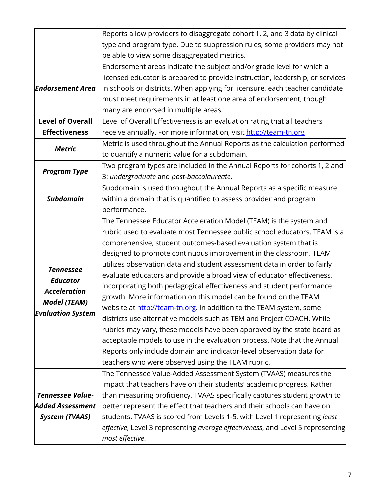|                          | Reports allow providers to disaggregate cohort 1, 2, and 3 data by clinical             |  |  |
|--------------------------|-----------------------------------------------------------------------------------------|--|--|
|                          | type and program type. Due to suppression rules, some providers may not                 |  |  |
|                          | be able to view some disaggregated metrics.                                             |  |  |
|                          | Endorsement areas indicate the subject and/or grade level for which a                   |  |  |
|                          | licensed educator is prepared to provide instruction, leadership, or services           |  |  |
| <b>Endorsement Area</b>  | in schools or districts. When applying for licensure, each teacher candidate            |  |  |
|                          | must meet requirements in at least one area of endorsement, though                      |  |  |
|                          | many are endorsed in multiple areas.                                                    |  |  |
| <b>Level of Overall</b>  | Level of Overall Effectiveness is an evaluation rating that all teachers                |  |  |
| <b>Effectiveness</b>     | receive annually. For more information, visit http://team-tn.org                        |  |  |
| <b>Metric</b>            | Metric is used throughout the Annual Reports as the calculation performed               |  |  |
|                          | to quantify a numeric value for a subdomain.                                            |  |  |
| <b>Program Type</b>      | Two program types are included in the Annual Reports for cohorts 1, 2 and               |  |  |
|                          | 3: undergraduate and post-baccalaureate.                                                |  |  |
|                          | Subdomain is used throughout the Annual Reports as a specific measure                   |  |  |
| <b>Subdomain</b>         | within a domain that is quantified to assess provider and program                       |  |  |
|                          | performance.                                                                            |  |  |
|                          | The Tennessee Educator Acceleration Model (TEAM) is the system and                      |  |  |
|                          | rubric used to evaluate most Tennessee public school educators. TEAM is a               |  |  |
|                          | comprehensive, student outcomes-based evaluation system that is                         |  |  |
|                          | designed to promote continuous improvement in the classroom. TEAM                       |  |  |
| <b>Tennessee</b>         | utilizes observation data and student assessment data in order to fairly                |  |  |
| <b>Educator</b>          | evaluate educators and provide a broad view of educator effectiveness,                  |  |  |
| <b>Acceleration</b>      | incorporating both pedagogical effectiveness and student performance                    |  |  |
| <b>Model (TEAM)</b>      | growth. More information on this model can be found on the TEAM                         |  |  |
| <b>Evaluation System</b> | website at http://team-tn.org. In addition to the TEAM system, some                     |  |  |
|                          | districts use alternative models such as TEM and Project COACH. While                   |  |  |
|                          | rubrics may vary, these models have been approved by the state board as                 |  |  |
|                          | acceptable models to use in the evaluation process. Note that the Annual                |  |  |
|                          | Reports only include domain and indicator-level observation data for                    |  |  |
|                          | teachers who were observed using the TEAM rubric.                                       |  |  |
|                          | The Tennessee Value-Added Assessment System (TVAAS) measures the                        |  |  |
|                          | impact that teachers have on their students' academic progress. Rather                  |  |  |
| <b>Tennessee Value-</b>  | than measuring proficiency, TVAAS specifically captures student growth to               |  |  |
| <b>Added Assessment</b>  | better represent the effect that teachers and their schools can have on                 |  |  |
| <b>System (TVAAS)</b>    | students. TVAAS is scored from Levels 1-5, with Level 1 representing least              |  |  |
|                          | <i>effective</i> , Level 3 representing average effectiveness, and Level 5 representing |  |  |
|                          | most effective.                                                                         |  |  |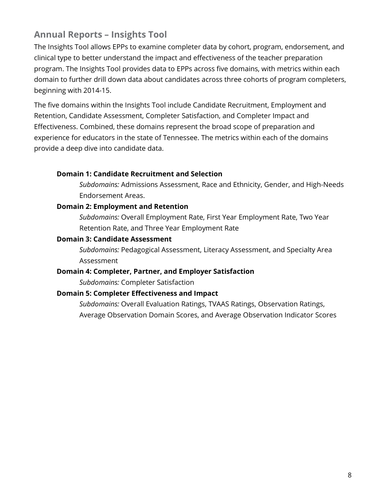## **Annual Reports – Insights Tool**

The Insights Tool allows EPPs to examine completer data by cohort, program, endorsement, and clinical type to better understand the impact and effectiveness of the teacher preparation program. The Insights Tool provides data to EPPs across five domains, with metrics within each domain to further drill down data about candidates across three cohorts of program completers, beginning with 2014-15.

The five domains within the Insights Tool include Candidate Recruitment, Employment and Retention, Candidate Assessment, Completer Satisfaction, and Completer Impact and Effectiveness. Combined, these domains represent the broad scope of preparation and experience for educators in the state of Tennessee. The metrics within each of the domains provide a deep dive into candidate data.

#### **Domain 1: Candidate Recruitment and Selection**

*Subdomains:* Admissions Assessment, Race and Ethnicity, Gender, and High-Needs Endorsement Areas.

#### **Domain 2: Employment and Retention**

*Subdomains:* Overall Employment Rate, First Year Employment Rate, Two Year Retention Rate, and Three Year Employment Rate

#### **Domain 3: Candidate Assessment**

*Subdomains:* Pedagogical Assessment, Literacy Assessment, and Specialty Area Assessment

#### **Domain 4: Completer, Partner, and Employer Satisfaction**

*Subdomains:* Completer Satisfaction

#### **Domain 5: Completer Effectiveness and Impact**

*Subdomains:* Overall Evaluation Ratings, TVAAS Ratings, Observation Ratings, Average Observation Domain Scores, and Average Observation Indicator Scores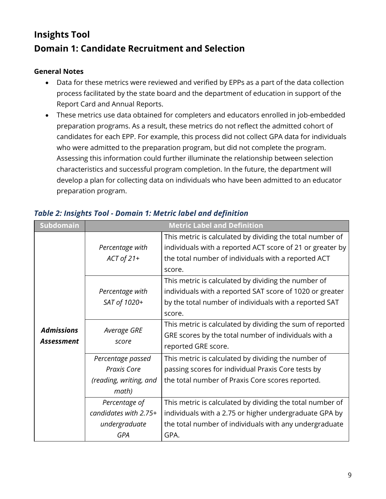# **Insights Tool Domain 1: Candidate Recruitment and Selection**

#### **General Notes**

- Data for these metrics were reviewed and verified by EPPs as a part of the data collection process facilitated by the state board and the department of education in support of the Report Card and Annual Reports.
- These metrics use data obtained for completers and educators enrolled in job-embedded preparation programs. As a result, these metrics do not reflect the admitted cohort of candidates for each EPP. For example, this process did not collect GPA data for individuals who were admitted to the preparation program, but did not complete the program. Assessing this information could further illuminate the relationship between selection characteristics and successful program completion. In the future, the department will develop a plan for collecting data on individuals who have been admitted to an educator preparation program.

| <b>Subdomain</b>                |                                                                     | <b>Metric Label and Definition</b>                                                                                                                                                    |
|---------------------------------|---------------------------------------------------------------------|---------------------------------------------------------------------------------------------------------------------------------------------------------------------------------------|
|                                 | Percentage with<br>$ACT of 21+$                                     | This metric is calculated by dividing the total number of<br>individuals with a reported ACT score of 21 or greater by<br>the total number of individuals with a reported ACT         |
|                                 |                                                                     | score.                                                                                                                                                                                |
|                                 | Percentage with<br>SAT of 1020+                                     | This metric is calculated by dividing the number of<br>individuals with a reported SAT score of 1020 or greater<br>by the total number of individuals with a reported SAT<br>score.   |
| <b>Admissions</b><br>Assessment | Average GRE<br>score                                                | This metric is calculated by dividing the sum of reported<br>GRE scores by the total number of individuals with a<br>reported GRE score.                                              |
|                                 | Percentage passed<br>Praxis Core<br>(reading, writing, and<br>math) | This metric is calculated by dividing the number of<br>passing scores for individual Praxis Core tests by<br>the total number of Praxis Core scores reported.                         |
|                                 | Percentage of<br>candidates with 2.75+<br>undergraduate<br>GPA      | This metric is calculated by dividing the total number of<br>individuals with a 2.75 or higher undergraduate GPA by<br>the total number of individuals with any undergraduate<br>GPA. |

## *Table 2: Insights Tool - Domain 1: Metric label and definition*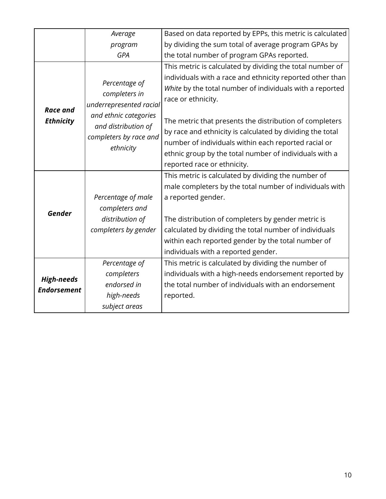|                    | Average                                                    | Based on data reported by EPPs, this metric is calculated |
|--------------------|------------------------------------------------------------|-----------------------------------------------------------|
|                    | program                                                    | by dividing the sum total of average program GPAs by      |
|                    | <b>GPA</b>                                                 | the total number of program GPAs reported.                |
|                    |                                                            | This metric is calculated by dividing the total number of |
|                    | Percentage of                                              | individuals with a race and ethnicity reported other than |
|                    | completers in                                              | White by the total number of individuals with a reported  |
| <b>Race and</b>    | underrepresented racial                                    | race or ethnicity.                                        |
| <b>Ethnicity</b>   | and ethnic categories                                      | The metric that presents the distribution of completers   |
|                    | and distribution of<br>completers by race and<br>ethnicity | by race and ethnicity is calculated by dividing the total |
|                    |                                                            | number of individuals within each reported racial or      |
|                    |                                                            | ethnic group by the total number of individuals with a    |
|                    |                                                            | reported race or ethnicity.                               |
|                    |                                                            | This metric is calculated by dividing the number of       |
|                    |                                                            | male completers by the total number of individuals with   |
|                    | Percentage of male                                         | a reported gender.                                        |
| <b>Gender</b>      | completers and                                             |                                                           |
|                    | distribution of                                            | The distribution of completers by gender metric is        |
|                    | completers by gender                                       | calculated by dividing the total number of individuals    |
|                    |                                                            | within each reported gender by the total number of        |
|                    |                                                            | individuals with a reported gender.                       |
|                    | Percentage of                                              | This metric is calculated by dividing the number of       |
| <b>High-needs</b>  | completers                                                 | individuals with a high-needs endorsement reported by     |
| <b>Endorsement</b> | endorsed in                                                | the total number of individuals with an endorsement       |
|                    | high-needs                                                 | reported.                                                 |
|                    | subject areas                                              |                                                           |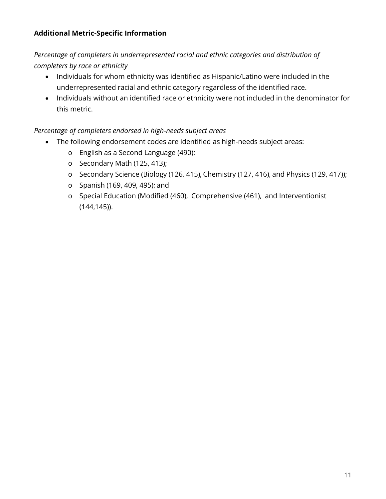#### **Additional Metric-Specific Information**

*Percentage of completers in underrepresented racial and ethnic categories and distribution of completers by race or ethnicity*

- Individuals for whom ethnicity was identified as Hispanic/Latino were included in the underrepresented racial and ethnic category regardless of the identified race.
- Individuals without an identified race or ethnicity were not included in the denominator for this metric.

#### *Percentage of completers endorsed in high-needs subject areas*

- The following endorsement codes are identified as high-needs subject areas:
	- o English as a Second Language (490);
	- o Secondary Math (125, 413);
	- o Secondary Science (Biology (126, 415), Chemistry (127, 416), and Physics (129, 417));
	- o Spanish (169, 409, 495); and
	- o Special Education (Modified (460), Comprehensive (461), and Interventionist (144,145)).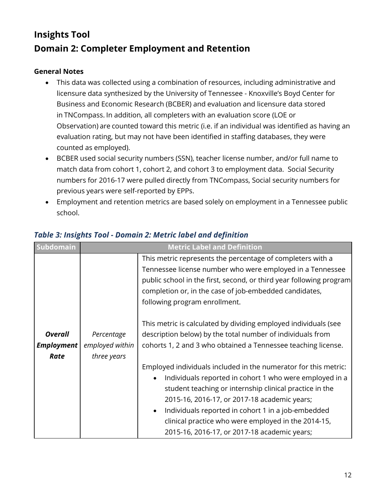# **Insights Tool Domain 2: Completer Employment and Retention**

#### **General Notes**

- This data was collected using a combination of resources, including administrative and licensure data synthesized by the University of Tennessee - Knoxville's Boyd Center for Business and Economic Research (BCBER) and evaluation and licensure data stored in TNCompass. In addition, all completers with an evaluation score (LOE or Observation) are counted toward this metric (i.e. if an individual was identified as having an evaluation rating, but may not have been identified in staffing databases, they were counted as employed).
- BCBER used social security numbers (SSN), teacher license number, and/or full name to match data from cohort 1, cohort 2, and cohort 3 to employment data. Social Security numbers for 2016-17 were pulled directly from TNCompass, Social security numbers for previous years were self-reported by EPPs.
- Employment and retention metrics are based solely on employment in a Tennessee public school.

| Subdomain                                   |                                              | <b>Metric Label and Definition</b>                                                                                                                                                                                                                                                                                                                                                                                           |
|---------------------------------------------|----------------------------------------------|------------------------------------------------------------------------------------------------------------------------------------------------------------------------------------------------------------------------------------------------------------------------------------------------------------------------------------------------------------------------------------------------------------------------------|
|                                             |                                              | This metric represents the percentage of completers with a<br>Tennessee license number who were employed in a Tennessee<br>public school in the first, second, or third year following program<br>completion or, in the case of job-embedded candidates,<br>following program enrollment.                                                                                                                                    |
| <b>Overall</b><br><b>Employment</b><br>Rate | Percentage<br>employed within<br>three years | This metric is calculated by dividing employed individuals (see<br>description below) by the total number of individuals from<br>cohorts 1, 2 and 3 who obtained a Tennessee teaching license.                                                                                                                                                                                                                               |
|                                             |                                              | Employed individuals included in the numerator for this metric:<br>Individuals reported in cohort 1 who were employed in a<br>$\bullet$<br>student teaching or internship clinical practice in the<br>2015-16, 2016-17, or 2017-18 academic years;<br>Individuals reported in cohort 1 in a job-embedded<br>$\bullet$<br>clinical practice who were employed in the 2014-15,<br>2015-16, 2016-17, or 2017-18 academic years; |

#### *Table 3: Insights Tool - Domain 2: Metric label and definition*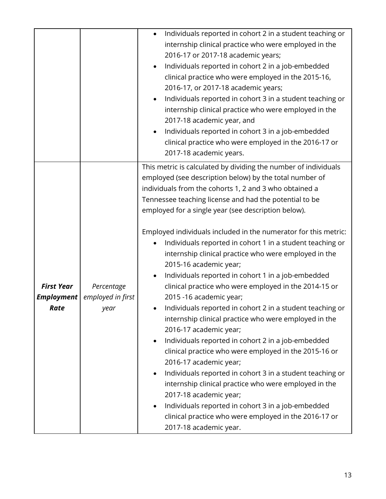|                                                |                                         | Individuals reported in cohort 2 in a student teaching or<br>$\bullet$<br>internship clinical practice who were employed in the<br>2016-17 or 2017-18 academic years;<br>Individuals reported in cohort 2 in a job-embedded<br>$\bullet$<br>clinical practice who were employed in the 2015-16,<br>2016-17, or 2017-18 academic years;<br>Individuals reported in cohort 3 in a student teaching or<br>$\bullet$<br>internship clinical practice who were employed in the<br>2017-18 academic year, and<br>Individuals reported in cohort 3 in a job-embedded<br>$\bullet$<br>clinical practice who were employed in the 2016-17 or<br>2017-18 academic years.                                                                                                                                                                                                                                                                                                                                                                                                                                                                                                                                                                                                                                           |
|------------------------------------------------|-----------------------------------------|----------------------------------------------------------------------------------------------------------------------------------------------------------------------------------------------------------------------------------------------------------------------------------------------------------------------------------------------------------------------------------------------------------------------------------------------------------------------------------------------------------------------------------------------------------------------------------------------------------------------------------------------------------------------------------------------------------------------------------------------------------------------------------------------------------------------------------------------------------------------------------------------------------------------------------------------------------------------------------------------------------------------------------------------------------------------------------------------------------------------------------------------------------------------------------------------------------------------------------------------------------------------------------------------------------|
| <b>First Year</b><br><b>Employment</b><br>Rate | Percentage<br>employed in first<br>year | This metric is calculated by dividing the number of individuals<br>employed (see description below) by the total number of<br>individuals from the cohorts 1, 2 and 3 who obtained a<br>Tennessee teaching license and had the potential to be<br>employed for a single year (see description below).<br>Employed individuals included in the numerator for this metric:<br>Individuals reported in cohort 1 in a student teaching or<br>internship clinical practice who were employed in the<br>2015-16 academic year;<br>Individuals reported in cohort 1 in a job-embedded<br>$\bullet$<br>clinical practice who were employed in the 2014-15 or<br>2015 -16 academic year;<br>Individuals reported in cohort 2 in a student teaching or<br>internship clinical practice who were employed in the<br>2016-17 academic year;<br>Individuals reported in cohort 2 in a job-embedded<br>$\bullet$<br>clinical practice who were employed in the 2015-16 or<br>2016-17 academic year;<br>Individuals reported in cohort 3 in a student teaching or<br>$\bullet$<br>internship clinical practice who were employed in the<br>2017-18 academic year;<br>Individuals reported in cohort 3 in a job-embedded<br>$\bullet$<br>clinical practice who were employed in the 2016-17 or<br>2017-18 academic year. |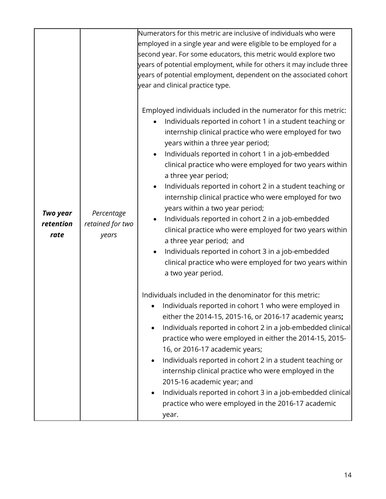|                                      |                                         | Numerators for this metric are inclusive of individuals who were<br>employed in a single year and were eligible to be employed for a<br>second year. For some educators, this metric would explore two<br>years of potential employment, while for others it may include three<br>years of potential employment, dependent on the associated cohort<br>year and clinical practice type.                                                                                                                                                                                                                                                                                                                                                                                                                                                         |
|--------------------------------------|-----------------------------------------|-------------------------------------------------------------------------------------------------------------------------------------------------------------------------------------------------------------------------------------------------------------------------------------------------------------------------------------------------------------------------------------------------------------------------------------------------------------------------------------------------------------------------------------------------------------------------------------------------------------------------------------------------------------------------------------------------------------------------------------------------------------------------------------------------------------------------------------------------|
| <b>Two year</b><br>retention<br>rate | Percentage<br>retained for two<br>years | Employed individuals included in the numerator for this metric:<br>Individuals reported in cohort 1 in a student teaching or<br>internship clinical practice who were employed for two<br>years within a three year period;<br>Individuals reported in cohort 1 in a job-embedded<br>clinical practice who were employed for two years within<br>a three year period;<br>Individuals reported in cohort 2 in a student teaching or<br>$\bullet$<br>internship clinical practice who were employed for two<br>years within a two year period;<br>Individuals reported in cohort 2 in a job-embedded<br>clinical practice who were employed for two years within<br>a three year period; and<br>Individuals reported in cohort 3 in a job-embedded<br>$\bullet$<br>clinical practice who were employed for two years within<br>a two year period. |
|                                      |                                         | Individuals included in the denominator for this metric:<br>Individuals reported in cohort 1 who were employed in<br>either the 2014-15, 2015-16, or 2016-17 academic years;<br>Individuals reported in cohort 2 in a job-embedded clinical<br>$\bullet$<br>practice who were employed in either the 2014-15, 2015-<br>16, or 2016-17 academic years;<br>Individuals reported in cohort 2 in a student teaching or<br>internship clinical practice who were employed in the<br>2015-16 academic year; and<br>Individuals reported in cohort 3 in a job-embedded clinical<br>practice who were employed in the 2016-17 academic<br>year.                                                                                                                                                                                                         |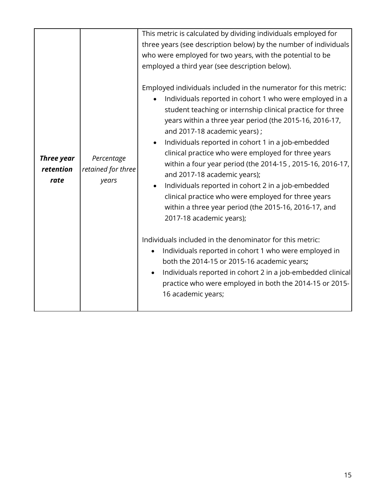| <b>Three year</b><br>retention<br>rate | Percentage<br>retained for three<br>years | This metric is calculated by dividing individuals employed for<br>three years (see description below) by the number of individuals<br>who were employed for two years, with the potential to be<br>employed a third year (see description below).<br>Employed individuals included in the numerator for this metric:<br>Individuals reported in cohort 1 who were employed in a<br>student teaching or internship clinical practice for three<br>years within a three year period (the 2015-16, 2016-17,<br>and 2017-18 academic years);<br>Individuals reported in cohort 1 in a job-embedded<br>clinical practice who were employed for three years<br>within a four year period (the 2014-15, 2015-16, 2016-17,<br>and 2017-18 academic years);<br>Individuals reported in cohort 2 in a job-embedded<br>clinical practice who were employed for three years<br>within a three year period (the 2015-16, 2016-17, and<br>2017-18 academic years);<br>Individuals included in the denominator for this metric:<br>Individuals reported in cohort 1 who were employed in<br>both the 2014-15 or 2015-16 academic years;<br>Individuals reported in cohort 2 in a job-embedded clinical<br>practice who were employed in both the 2014-15 or 2015-<br>16 academic years; |
|----------------------------------------|-------------------------------------------|--------------------------------------------------------------------------------------------------------------------------------------------------------------------------------------------------------------------------------------------------------------------------------------------------------------------------------------------------------------------------------------------------------------------------------------------------------------------------------------------------------------------------------------------------------------------------------------------------------------------------------------------------------------------------------------------------------------------------------------------------------------------------------------------------------------------------------------------------------------------------------------------------------------------------------------------------------------------------------------------------------------------------------------------------------------------------------------------------------------------------------------------------------------------------------------------------------------------------------------------------------------------------|
|                                        |                                           |                                                                                                                                                                                                                                                                                                                                                                                                                                                                                                                                                                                                                                                                                                                                                                                                                                                                                                                                                                                                                                                                                                                                                                                                                                                                          |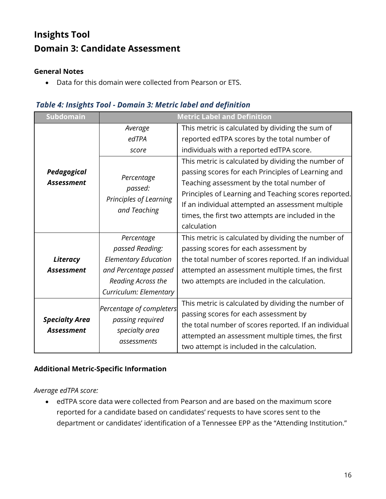# **Insights Tool Domain 3: Candidate Assessment**

#### **General Notes**

• Data for this domain were collected from Pearson or ETS.

#### *Table 4: Insights Tool - Domain 3: Metric label and definition*

| Subdomain             | <b>Metric Label and Definition</b> |                                                       |  |
|-----------------------|------------------------------------|-------------------------------------------------------|--|
|                       | Average                            | This metric is calculated by dividing the sum of      |  |
|                       | edTPA                              | reported edTPA scores by the total number of          |  |
|                       | score                              | individuals with a reported edTPA score.              |  |
|                       |                                    | This metric is calculated by dividing the number of   |  |
| Pedagogical           | Percentage                         | passing scores for each Principles of Learning and    |  |
| <b>Assessment</b>     | passed:                            | Teaching assessment by the total number of            |  |
|                       | Principles of Learning             | Principles of Learning and Teaching scores reported.  |  |
|                       | and Teaching                       | If an individual attempted an assessment multiple     |  |
|                       |                                    | times, the first two attempts are included in the     |  |
|                       |                                    | calculation                                           |  |
|                       | Percentage                         | This metric is calculated by dividing the number of   |  |
|                       | passed Reading:                    | passing scores for each assessment by                 |  |
| <b>Literacy</b>       | <b>Elementary Education</b>        | the total number of scores reported. If an individual |  |
| <b>Assessment</b>     | and Percentage passed              | attempted an assessment multiple times, the first     |  |
|                       | Reading Across the                 | two attempts are included in the calculation.         |  |
|                       | Curriculum: Elementary             |                                                       |  |
|                       | Percentage of completers           | This metric is calculated by dividing the number of   |  |
| <b>Specialty Area</b> | passing required                   | passing scores for each assessment by                 |  |
| <b>Assessment</b>     | specialty area                     | the total number of scores reported. If an individual |  |
|                       | assessments                        | attempted an assessment multiple times, the first     |  |
|                       |                                    | two attempt is included in the calculation.           |  |

#### **Additional Metric-Specific Information**

*Average edTPA score:*

• edTPA score data were collected from Pearson and are based on the maximum score reported for a candidate based on candidates' requests to have scores sent to the department or candidates' identification of a Tennessee EPP as the "Attending Institution."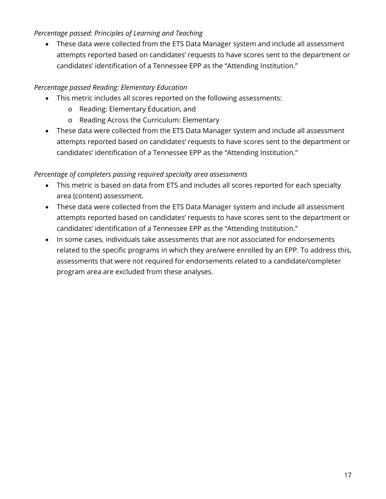#### *Percentage passed: Principles of Learning and Teaching*

• These data were collected from the ETS Data Manager system and include all assessment attempts reported based on candidates' requests to have scores sent to the department or candidates' identification of a Tennessee EPP as the "Attending Institution."

#### *Percentage passed Reading: Elementary Education*

- This metric includes all scores reported on the following assessments:
	- o Reading: Elementary Education, and
	- o Reading Across the Curriculum: Elementary
- These data were collected from the ETS Data Manager system and include all assessment attempts reported based on candidates' requests to have scores sent to the department or candidates' identification of a Tennessee EPP as the "Attending Institution."

#### *Percentage of completers passing required specialty area assessments*

- This metric is based on data from ETS and includes all scores reported for each specialty area (content) assessment.
- These data were collected from the ETS Data Manager system and include all assessment attempts reported based on candidates' requests to have scores sent to the department or candidates' identification of a Tennessee EPP as the "Attending Institution."
- In some cases, individuals take assessments that are not associated for endorsements related to the specific programs in which they are/were enrolled by an EPP. To address this, assessments that were not required for endorsements related to a candidate/completer program area are excluded from these analyses.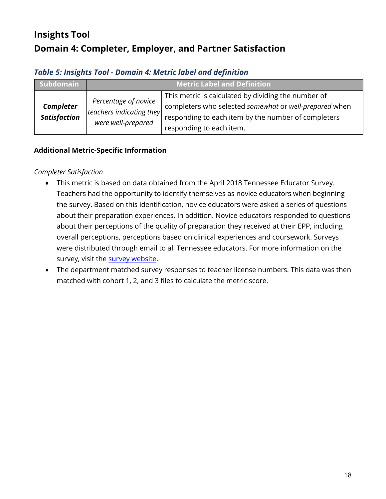# **Insights Tool Domain 4: Completer, Employer, and Partner Satisfaction**

#### *Table 5: Insights Tool - Domain 4: Metric label and definition*

| Subdomain                               | <b>Metric Label and Definition</b>                                     |                                                                                                                                                                                                  |
|-----------------------------------------|------------------------------------------------------------------------|--------------------------------------------------------------------------------------------------------------------------------------------------------------------------------------------------|
| <b>Completer</b><br><b>Satisfaction</b> | Percentage of novice<br>teachers indicating they<br>were well-prepared | This metric is calculated by dividing the number of<br>completers who selected somewhat or well-prepared when<br>responding to each item by the number of completers<br>responding to each item. |

#### **Additional Metric-Specific Information**

#### *Completer Satisfaction*

- This metric is based on data obtained from the April 2018 Tennessee Educator Survey. Teachers had the opportunity to identify themselves as novice educators when beginning the survey. Based on this identification, novice educators were asked a series of questions about their preparation experiences. In addition. Novice educators responded to questions about their perceptions of the quality of preparation they received at their EPP, including overall perceptions, perceptions based on clinical experiences and coursework. Surveys were distributed through email to all Tennessee educators. For more information on the survey, visit the [survey website.](http://educatorsurvey.tnk12.gov/)
- The department matched survey responses to teacher license numbers. This data was then matched with cohort 1, 2, and 3 files to calculate the metric score.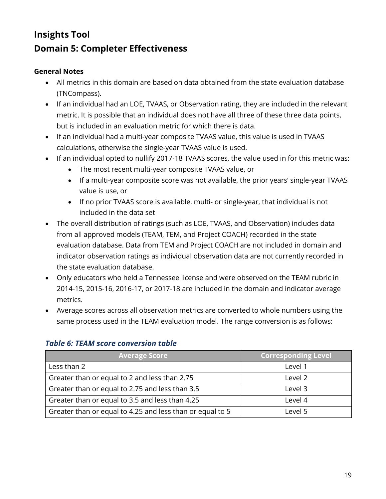# **Insights Tool Domain 5: Completer Effectiveness**

#### **General Notes**

- All metrics in this domain are based on data obtained from the state evaluation database (TNCompass).
- If an individual had an LOE, TVAAS, or Observation rating, they are included in the relevant metric. It is possible that an individual does not have all three of these three data points, but is included in an evaluation metric for which there is data.
- If an individual had a multi-year composite TVAAS value, this value is used in TVAAS calculations, otherwise the single-year TVAAS value is used.
- If an individual opted to nullify 2017-18 TVAAS scores, the value used in for this metric was:
	- The most recent multi-year composite TVAAS value, or
	- If a multi-year composite score was not available, the prior years' single-year TVAAS value is use, or
	- If no prior TVAAS score is available, multi- or single-year, that individual is not included in the data set
- The overall distribution of ratings (such as LOE, TVAAS, and Observation) includes data from all approved models (TEAM, TEM, and Project COACH) recorded in the state evaluation database. Data from TEM and Project COACH are not included in domain and indicator observation ratings as individual observation data are not currently recorded in the state evaluation database.
- Only educators who held a Tennessee license and were observed on the TEAM rubric in 2014-15, 2015-16, 2016-17, or 2017-18 are included in the domain and indicator average metrics.
- Average scores across all observation metrics are converted to whole numbers using the same process used in the TEAM evaluation model. The range conversion is as follows:

| <b>Average Score</b>                                      | <b>Corresponding Level</b> |
|-----------------------------------------------------------|----------------------------|
| Less than 2                                               | Level 1                    |
| Greater than or equal to 2 and less than 2.75             | Level 2                    |
| Greater than or equal to 2.75 and less than 3.5           | Level 3                    |
| Greater than or equal to 3.5 and less than 4.25           | Level 4                    |
| Greater than or equal to 4.25 and less than or equal to 5 | Level 5                    |

#### *Table 6: TEAM score conversion table*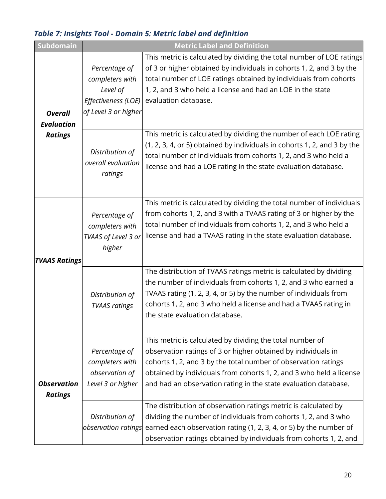# *Table 7: Insights Tool - Domain 5: Metric label and definition*

| Subdomain                            | <b>Metric Label and Definition</b>                                                          |                                                                                                                                                                                                                                                                                                                                        |  |  |
|--------------------------------------|---------------------------------------------------------------------------------------------|----------------------------------------------------------------------------------------------------------------------------------------------------------------------------------------------------------------------------------------------------------------------------------------------------------------------------------------|--|--|
| <b>Overall</b><br><b>Evaluation</b>  | Percentage of<br>completers with<br>Level of<br>Effectiveness (LOE)<br>of Level 3 or higher | This metric is calculated by dividing the total number of LOE ratings<br>of 3 or higher obtained by individuals in cohorts 1, 2, and 3 by the<br>total number of LOE ratings obtained by individuals from cohorts<br>1, 2, and 3 who held a license and had an LOE in the state<br>evaluation database.                                |  |  |
| <b>Ratings</b>                       | Distribution of<br>overall evaluation<br>ratings                                            | This metric is calculated by dividing the number of each LOE rating<br>(1, 2, 3, 4, or 5) obtained by individuals in cohorts 1, 2, and 3 by the<br>total number of individuals from cohorts 1, 2, and 3 who held a<br>license and had a LOE rating in the state evaluation database.                                                   |  |  |
| <b>TVAAS Ratings</b>                 | Percentage of<br>completers with<br>TVAAS of Level 3 or<br>higher                           | This metric is calculated by dividing the total number of individuals<br>from cohorts 1, 2, and 3 with a TVAAS rating of 3 or higher by the<br>total number of individuals from cohorts 1, 2, and 3 who held a<br>license and had a TVAAS rating in the state evaluation database.                                                     |  |  |
|                                      | Distribution of<br><b>TVAAS ratings</b>                                                     | The distribution of TVAAS ratings metric is calculated by dividing<br>the number of individuals from cohorts 1, 2, and 3 who earned a<br>TVAAS rating (1, 2, 3, 4, or 5) by the number of individuals from<br>cohorts 1, 2, and 3 who held a license and had a TVAAS rating in<br>the state evaluation database.                       |  |  |
| <b>Observation</b><br><b>Ratings</b> | Percentage of<br>completers with<br>observation of<br>Level 3 or higher                     | This metric is calculated by dividing the total number of<br>observation ratings of 3 or higher obtained by individuals in<br>cohorts 1, 2, and 3 by the total number of observation ratings<br>obtained by individuals from cohorts 1, 2, and 3 who held a license<br>and had an observation rating in the state evaluation database. |  |  |
|                                      | Distribution of<br>observation ratings                                                      | The distribution of observation ratings metric is calculated by<br>dividing the number of individuals from cohorts 1, 2, and 3 who<br>earned each observation rating (1, 2, 3, 4, or 5) by the number of<br>observation ratings obtained by individuals from cohorts 1, 2, and                                                         |  |  |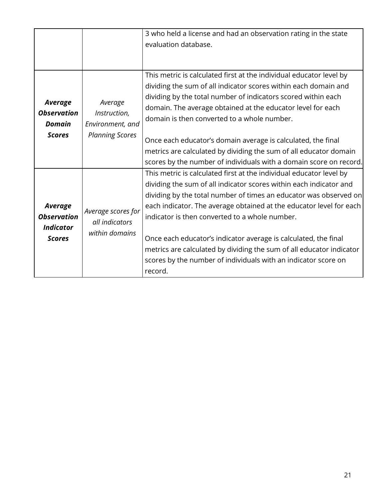|                                                                           |                                                                       | 3 who held a license and had an observation rating in the state<br>evaluation database.                                                                                                                                                                                                                                                                                                                                                                                                                                                                         |
|---------------------------------------------------------------------------|-----------------------------------------------------------------------|-----------------------------------------------------------------------------------------------------------------------------------------------------------------------------------------------------------------------------------------------------------------------------------------------------------------------------------------------------------------------------------------------------------------------------------------------------------------------------------------------------------------------------------------------------------------|
| <b>Average</b><br><b>Observation</b><br><b>Domain</b><br><b>Scores</b>    | Average<br>Instruction,<br>Environment, and<br><b>Planning Scores</b> | This metric is calculated first at the individual educator level by<br>dividing the sum of all indicator scores within each domain and<br>dividing by the total number of indicators scored within each<br>domain. The average obtained at the educator level for each<br>domain is then converted to a whole number.<br>Once each educator's domain average is calculated, the final<br>metrics are calculated by dividing the sum of all educator domain<br>scores by the number of individuals with a domain score on record.                                |
| <b>Average</b><br><b>Observation</b><br><b>Indicator</b><br><b>Scores</b> | Average scores for<br>all indicators<br>within domains                | This metric is calculated first at the individual educator level by<br>dividing the sum of all indicator scores within each indicator and<br>dividing by the total number of times an educator was observed on<br>each indicator. The average obtained at the educator level for each<br>indicator is then converted to a whole number.<br>Once each educator's indicator average is calculated, the final<br>metrics are calculated by dividing the sum of all educator indicator<br>scores by the number of individuals with an indicator score on<br>record. |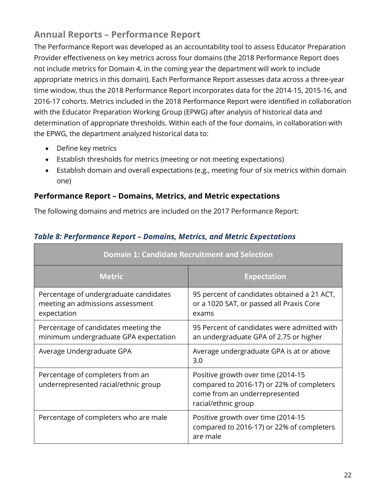## **Annual Reports – Performance Report**

The Performance Report was developed as an accountability tool to assess Educator Preparation Provider effectiveness on key metrics across four domains (the 2018 Performance Report does not include metrics for Domain 4, in the coming year the department will work to include appropriate metrics in this domain). Each Performance Report assesses data across a three-year time window, thus the 2018 Performance Report incorporates data for the 2014-15, 2015-16, and 2016-17 cohorts. Metrics included in the 2018 Performance Report were identified in collaboration with the Educator Preparation Working Group (EPWG) after analysis of historical data and determination of appropriate thresholds. Within each of the four domains, in collaboration with the EPWG, the department analyzed historical data to:

- Define key metrics
- Establish thresholds for metrics (meeting or not meeting expectations)
- Establish domain and overall expectations (e.g., meeting four of six metrics within domain one)

#### **Performance Report – Domains, Metrics, and Metric expectations**

The following domains and metrics are included on the 2017 Performance Report:

| <b>Domain 1: Candidate Recruitment and Selection</b>                                      |                                                                                                                                         |  |  |
|-------------------------------------------------------------------------------------------|-----------------------------------------------------------------------------------------------------------------------------------------|--|--|
| <b>Metric</b>                                                                             | <b>Expectation</b>                                                                                                                      |  |  |
| Percentage of undergraduate candidates<br>meeting an admissions assessment<br>expectation | 95 percent of candidates obtained a 21 ACT,<br>or a 1020 SAT, or passed all Praxis Core<br>exams                                        |  |  |
| Percentage of candidates meeting the<br>minimum undergraduate GPA expectation             | 95 Percent of candidates were admitted with<br>an undergraduate GPA of 2.75 or higher                                                   |  |  |
| Average Undergraduate GPA                                                                 | Average undergraduate GPA is at or above<br>3.0                                                                                         |  |  |
| Percentage of completers from an<br>underrepresented racial/ethnic group                  | Positive growth over time (2014-15<br>compared to 2016-17) or 22% of completers<br>come from an underrepresented<br>racial/ethnic group |  |  |
| Percentage of completers who are male                                                     | Positive growth over time (2014-15<br>compared to 2016-17) or 22% of completers<br>are male                                             |  |  |

#### *Table 8: Performance Report – Domains, Metrics, and Metric Expectations*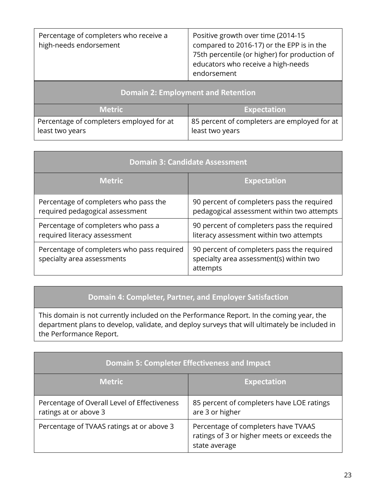| Percentage of completers who receive a<br>high-needs endorsement | Positive growth over time (2014-15<br>compared to 2016-17) or the EPP is in the<br>75th percentile (or higher) for production of<br>educators who receive a high-needs<br>endorsement |  |  |
|------------------------------------------------------------------|---------------------------------------------------------------------------------------------------------------------------------------------------------------------------------------|--|--|
| <b>Domain 2: Employment and Retention</b>                        |                                                                                                                                                                                       |  |  |
| <b>Metric</b>                                                    | <b>Expectation</b>                                                                                                                                                                    |  |  |
| Percentage of completers employed for at                         | 85 percent of completers are employed for at                                                                                                                                          |  |  |

least two years

least two years

| <b>Domain 3: Candidate Assessment</b>                                    |                                                                                                   |  |  |
|--------------------------------------------------------------------------|---------------------------------------------------------------------------------------------------|--|--|
| <b>Metric</b>                                                            | <b>Expectation</b>                                                                                |  |  |
| Percentage of completers who pass the<br>required pedagogical assessment | 90 percent of completers pass the required<br>pedagogical assessment within two attempts          |  |  |
| Percentage of completers who pass a<br>required literacy assessment      | 90 percent of completers pass the required<br>literacy assessment within two attempts             |  |  |
| Percentage of completers who pass required<br>specialty area assessments | 90 percent of completers pass the required<br>specialty area assessment(s) within two<br>attempts |  |  |

#### **Domain 4: Completer, Partner, and Employer Satisfaction**

This domain is not currently included on the Performance Report. In the coming year, the department plans to develop, validate, and deploy surveys that will ultimately be included in the Performance Report.

| <b>Domain 5: Completer Effectiveness and Impact</b>                   |                                                                                                     |  |  |
|-----------------------------------------------------------------------|-----------------------------------------------------------------------------------------------------|--|--|
| <b>Metric</b>                                                         | <b>Expectation</b>                                                                                  |  |  |
| Percentage of Overall Level of Effectiveness<br>ratings at or above 3 | 85 percent of completers have LOE ratings<br>are 3 or higher                                        |  |  |
| Percentage of TVAAS ratings at or above 3                             | Percentage of completers have TVAAS<br>ratings of 3 or higher meets or exceeds the<br>state average |  |  |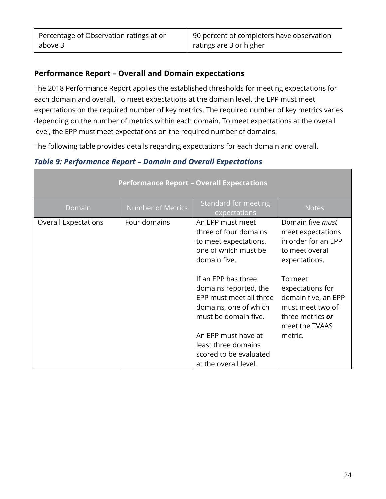#### **Performance Report – Overall and Domain expectations**

The 2018 Performance Report applies the established thresholds for meeting expectations for each domain and overall. To meet expectations at the domain level, the EPP must meet expectations on the required number of key metrics. The required number of key metrics varies depending on the number of metrics within each domain. To meet expectations at the overall level, the EPP must meet expectations on the required number of domains.

The following table provides details regarding expectations for each domain and overall.

#### *Table 9: Performance Report – Domain and Overall Expectations*

| <b>Performance Report - Overall Expectations</b> |                          |                                                                                                                                                                                                                           |                                                                                                                         |  |
|--------------------------------------------------|--------------------------|---------------------------------------------------------------------------------------------------------------------------------------------------------------------------------------------------------------------------|-------------------------------------------------------------------------------------------------------------------------|--|
| Domain                                           | <b>Number of Metrics</b> | Standard for meeting<br>expectations                                                                                                                                                                                      | <b>Notes</b>                                                                                                            |  |
| <b>Overall Expectations</b>                      | Four domains             | An EPP must meet<br>three of four domains<br>to meet expectations,<br>one of which must be<br>domain five.                                                                                                                | Domain five <i>must</i><br>meet expectations<br>in order for an EPP<br>to meet overall<br>expectations.                 |  |
|                                                  |                          | If an EPP has three<br>domains reported, the<br>EPP must meet all three<br>domains, one of which<br>must be domain five.<br>An EPP must have at<br>least three domains<br>scored to be evaluated<br>at the overall level. | To meet<br>expectations for<br>domain five, an EPP<br>must meet two of<br>three metrics or<br>meet the TVAAS<br>metric. |  |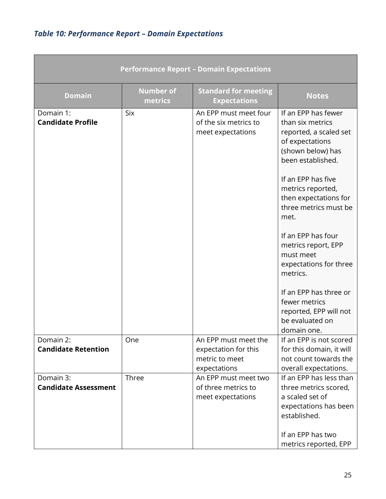# *Table 10: Performance Report – Domain Expectations*

| <b>Performance Report - Domain Expectations</b> |                             |                                                                                |                                                                                                                                                                                                                                                                                                                                                                                                                                            |
|-------------------------------------------------|-----------------------------|--------------------------------------------------------------------------------|--------------------------------------------------------------------------------------------------------------------------------------------------------------------------------------------------------------------------------------------------------------------------------------------------------------------------------------------------------------------------------------------------------------------------------------------|
| <b>Domain</b>                                   | <b>Number of</b><br>metrics | <b>Standard for meeting</b><br><b>Expectations</b>                             | <b>Notes</b>                                                                                                                                                                                                                                                                                                                                                                                                                               |
| Domain 1:<br><b>Candidate Profile</b>           | <b>Six</b>                  | An EPP must meet four<br>of the six metrics to<br>meet expectations            | If an EPP has fewer<br>than six metrics<br>reported, a scaled set<br>of expectations<br>(shown below) has<br>been established.<br>If an EPP has five<br>metrics reported,<br>then expectations for<br>three metrics must be<br>met.<br>If an EPP has four<br>metrics report, EPP<br>must meet<br>expectations for three<br>metrics.<br>If an EPP has three or<br>fewer metrics<br>reported, EPP will not<br>be evaluated on<br>domain one. |
| Domain 2:<br><b>Candidate Retention</b>         | One                         | An EPP must meet the<br>expectation for this<br>metric to meet<br>expectations | If an EPP is not scored<br>for this domain, it will<br>not count towards the<br>overall expectations.                                                                                                                                                                                                                                                                                                                                      |
| Domain 3:<br><b>Candidate Assessment</b>        | Three                       | An EPP must meet two<br>of three metrics to<br>meet expectations               | If an EPP has less than<br>three metrics scored,<br>a scaled set of<br>expectations has been<br>established.<br>If an EPP has two<br>metrics reported, EPP                                                                                                                                                                                                                                                                                 |